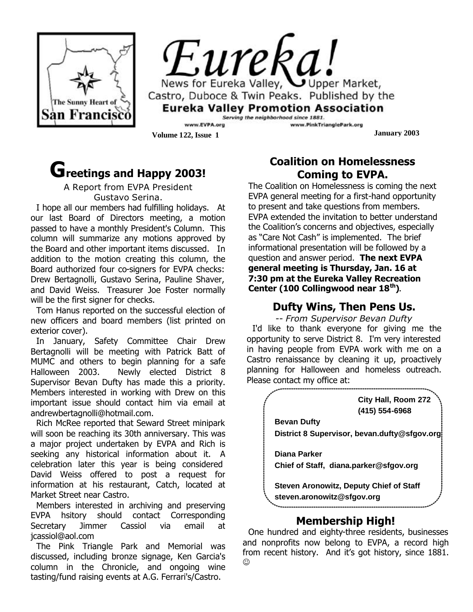

*Eureka!* News for Eureka Valley, Upper Market, Castro, Duboce & Twin Peaks. Published by the **Eureka Valley Promotion Association** Serving the neighborhood since 1881.

www.EVPA.org **Volume 122, Issue 1 January 2003** 

# **Greetings and Happy 2003!**

A Report from EVPA President Gustavo Serina.

I hope all our members had fulfilling holidays. At our last Board of Directors meeting, a motion passed to have a monthly President's Column. This column will summarize any motions approved by the Board and other important items discussed. In addition to the motion creating this column, the Board authorized four co-signers for EVPA checks: Drew Bertagnolli, Gustavo Serina, Pauline Shaver, and David Weiss. Treasurer Joe Foster normally will be the first signer for checks.

Tom Hanus reported on the successful election of new officers and board members (list printed on exterior cover).

 important issue should contact him via email at In January, Safety Committee Chair Drew Bertagnolli will be meeting with Patrick Batt of MUMC and others to begin planning for a safe Halloween 2003. Newly elected District 8 Supervisor Bevan Dufty has made this a priority. Members interested in working with Drew on this andrewbertagnolli@hotmail.com.

Rich McRee reported that Seward Street minipark will soon be reaching its 30th anniversary. This was a major project undertaken by EVPA and Rich is seeking any historical information about it. A celebration later this year is being considered David Weiss offered to post a request for information at his restaurant, Catch, located at Market Street near Castro.

Members interested in archiving and preserving EVPA hsitory should contact Corresponding Secretary Jimmer Cassiol via email at jcassiol@aol.com

The Pink Triangle Park and Memorial was discussed, including bronze signage, Ken Garcia's column in the Chronicle, and ongoing wine tasting/fund raising events at A.G. Ferrari's/Castro.

## **Coalition on Homelessness Coming to EVPA.**

www.PinkTrianglePark.org

The Coalition on Homelessness is coming the next EVPA general meeting for a first-hand opportunity to present and take questions from members. EVPA extended the invitation to better understand the Coalition's concerns and objectives, especially as "Care Not Cash" is implemented. The brief informational presentation will be followed by a question and answer period. **The next EVPA general meeting is Thursday, Jan. 16 at 7:30 pm at the Eureka Valley Recreation Center (100 Collingwood near 18th).**

## **Dufty Wins, Then Pens Us.**

*-- From Supervisor Bevan Dufty* I'd like to thank everyone for giving me the opportunity to serve District 8. I'm very interested in having people from EVPA work with me on a Castro renaissance by cleaning it up, proactively planning for Halloween and homeless outreach. Please contact my office at:



## **Membership High!**

One hundred and eighty-three residents, businesses and nonprofits now belong to EVPA, a record high from recent history. And it's got history, since 1881.  $_{\odot}$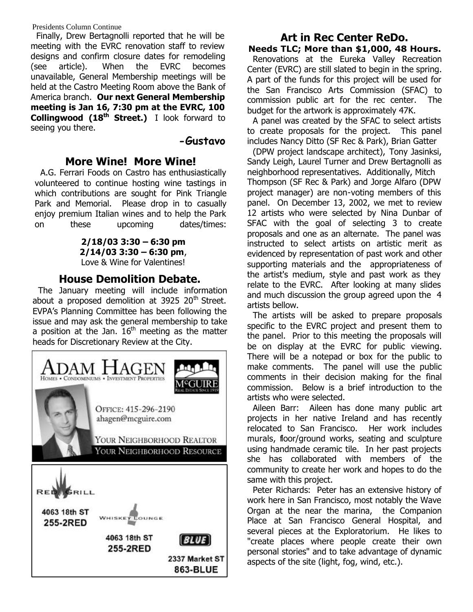Presidents Column Continue

Finally, Drew Bertagnolli reported that he will be meeting with the EVRC renovation staff to review designs and confirm closure dates for remodeling (see article). When the EVRC becomes unavailable, General Membership meetings will be held at the Castro Meeting Room above the Bank of America branch. **Our next General Membership meeting is Jan 16, 7:30 pm at the EVRC, 100 Collingwood (18th Street.)** I look forward to seeing you there.

#### **-Gustavo**

### **More Wine! More Wine!**

A.G. Ferrari Foods on Castro has enthusiastically volunteered to continue hosting wine tastings in which contributions are sought for Pink Triangle Park and Memorial. Please drop in to casually enjoy premium Italian wines and to help the Park on these upcoming dates/times:

> **2/18/03 3:30 – 6:30 pm 2/14/03 3:30 – 6:30 pm**, Love & Wine for Valentines!

#### **House Demolition Debate.**

The January meeting will include information about a proposed demolition at  $3925$   $20<sup>th</sup>$  Street. EVPA's Planning Committee has been following the issue and may ask the general membership to take a position at the Jan.  $16<sup>th</sup>$  meeting as the matter heads for Discretionary Review at the City.



#### **Art in Rec Center ReDo. Needs TLC; More than \$1,000, 48 Hours.**

Renovations at the Eureka Valley Recreation Center (EVRC) are still slated to begin in the spring. A part of the funds for this project will be used for the San Francisco Arts Commission (SFAC) to commission public art for the rec center. The budget for the artwork is approximately 47K.

A panel was created by the SFAC to select artists to create proposals for the project. This panel includes Nancy Ditto (SF Rec & Park), Brian Gatter

(DPW project landscape architect), Tony Jasinksi, Sandy Leigh, Laurel Turner and Drew Bertagnolli as neighborhood representatives. Additionally, Mitch Thompson (SF Rec & Park) and Jorge Alfaro (DPW project manager) are non-voting members of this panel. On December 13, 2002, we met to review 12 artists who were selected by Nina Dunbar of SFAC with the goal of selecting 3 to create proposals and one as an alternate. The panel was instructed to select artists on artistic merit as evidenced by representation of past work and other supporting materials and the appropriateness of the artist's medium, style and past work as they relate to the EVRC. After looking at many slides and much discussion the group agreed upon the 4 artists bellow.

The artists will be asked to prepare proposals specific to the EVRC project and present them to the panel. Prior to this meeting the proposals will be on display at the EVRC for public viewing. There will be a notepad or box for the public to make comments. The panel will use the public comments in their decision making for the final commission. Below is a brief introduction to the artists who were selected.

Aileen Barr: Aileen has done many public art projects in her native Ireland and has recently relocated to San Francisco. Her work includes murals, floor/ground works, seating and sculpture using handmade ceramic tile. In her past projects she has collaborated with members of the community to create her work and hopes to do the same with this project.

Peter Richards: Peter has an extensive history of work here in San Francisco, most notably the Wave Organ at the near the marina, the Companion Place at San Francisco General Hospital, and several pieces at the Exploratorium. He likes to "create places where people create their own personal stories" and to take advantage of dynamic aspects of the site (light, fog, wind, etc.).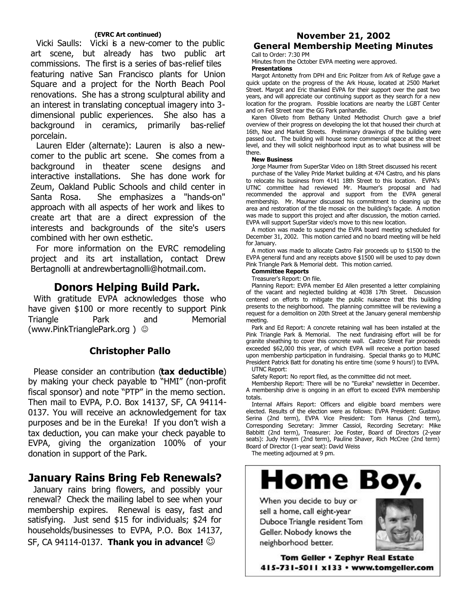#### **(EVRC Art continued)**

Vicki Saulls: Vicki is a new-comer to the public art scene, but already has two public art commissions. The first is a series of bas-relief tiles featuring native San Francisco plants for Union Square and a project for the North Beach Pool renovations. She has a strong sculptural ability and an interest in translating conceptual imagery into 3 dimensional public experiences. She also has a background in ceramics, primarily bas-relief porcelain.

Lauren Elder (alternate): Lauren is also a newcomer to the public art scene. She comes from a background in theater scene designs and interactive installations. She has done work for Zeum, Oakland Public Schools and child center in Santa Rosa. She emphasizes a "hands-on" approach with all aspects of her work and likes to create art that are a direct expression of the interests and backgrounds of the site's users combined with her own esthetic.

For more information on the EVRC remodeling project and its art installation, contact Drew Bertagnolli at andrewbertagnolli@hotmail.com.

#### **Donors Helping Build Park.**

With gratitude EVPA acknowledges those who have given \$100 or more recently to support Pink Triangle Park and Memorial (www.PinkTrianglePark.org)  $\odot$ 

#### **Christopher Pallo**

Please consider an contribution (**tax deductible**) by making your check payable to "HMI" (non-profit fiscal sponsor) and note "PTP" in the memo section. Then mail to EVPA, P.O. Box 14137, SF, CA 94114- 0137. You will receive an acknowledgement for tax purposes and be in the Eureka! If you don't wish a tax deduction, you can make your check payable to EVPA, giving the organization 100% of your donation in support of the Park.

## **January Rains Bring Feb Renewals?**

January rains bring flowers, and possibly your renewal? Check the mailing label to see when your membership expires. Renewal is easy, fast and satisfying. Just send \$15 for individuals; \$24 for households/businesses to EVPA, P.O. Box 14137, **SF, CA 94114-0137. Thank you in advance!**  $\odot$ 

## **November 21, 2002 General Membership Meeting Minutes**

Call to Order: 7:30 PM

Minutes from the October EVPA meeting were approved. **Presentations**

Margot Antonetty from DPH and Eric Politzer from Ark of Refuge gave a quick update on the progress of the Ark House, located at 2500 Market Street. Margot and Eric thanked EVPA for their support over the past two years, and will appreciate our continuing support as they search for a new location for the program. Possible locations are nearby the LGBT Center and on Fell Street near the GG Park panhandle.

Karen Oliveto from Bethany United Methodist Church gave a brief overview of their progress on developing the lot that housed their church at 16th, Noe and Market Streets. Preliminary drawings of the building were passed out. The building will house some commercial space at the street level, and they will solicit neighborhood input as to what business will be there.

#### **New Business**

Jorge Maumer from SuperStar Video on 18th Street discussed his recent

purchase of the Valley Pride Market building at 474 Castro, and his plans to relocate his business from 4141 18th Street to this location. EVPA's UTNC committee had reviewed Mr. Maumer's proposal and had recommended the approval and support from the EVPA general membership. Mr. Maumer discussed his commitment to cleaning up the area and restoration of the tile mosaic on the building's façade. A motion was made to support this project and after discussion, the motion carried. EVPA will support SuperStar video's move to this new location.

A motion was made to suspend the EVPA board meeting scheduled for December 31, 2002. This motion carried and no board meeting will be held for January.

A motion was made to allocate Castro Fair proceeds up to \$1500 to the EVPA general fund and any receipts above \$1500 will be used to pay down Pink Triangle Park & Memorial debt. This motion carried.

#### **Committee Reports**

Treasurer's Report: On file.

Planning Report: EVPA member Ed Allen presented a letter complaining of the vacant and neglected building at 4038 17th Street. Discussion centered on efforts to mitigate the public nuisance that this building presents to the neighborhood. The planning committee will be reviewing a request for a demolition on 20th Street at the January general membership meeting.

Park and Ed Report: A concrete retaining wall has been installed at the Pink Triangle Park & Memorial. The next fundraising effort will be for granite sheathing to cover this concrete wall. Castro Street Fair proceeds exceeded \$62,000 this year, of which EVPA will receive a portion based upon membership participation in fundraising. Special thanks go to MUMC President Patrick Batt for donating his entire time (some 9 hours!) to EVPA. UTNC Report:

Safety Report: No report filed, as the committee did not meet.

Membership Report: There will be no "Eureka" newsletter in December. A membership drive is ongoing in an effort to exceed EVPA membership totals.

Internal Affairs Report: Officers and eligible board members were elected. Results of the election were as follows: EVPA President: Gustavo Serina (2nd term), EVPA Vice President: Tom Hanus (2nd term), Corresponding Secretary: Jimmer Cassiol, Recording Secretary: Mike Babbitt (2nd term), Treasurer: Joe Foster, Board of Directors (2-year seats): Judy Hoyem (2nd term), Pauline Shaver, Rich McCree (2nd term) Board of Director (1-year seat): David Weiss

The meeting adjourned at 9 pm.

Home Boy

When you decide to buy or sell a home, call eight-year Duboce Triangle resident Tom Geller. Nobody knows the neighborhood better.



Tom Geller . Zephyr Real Estate 415-731-5011 x133 · www.tomgeller.com